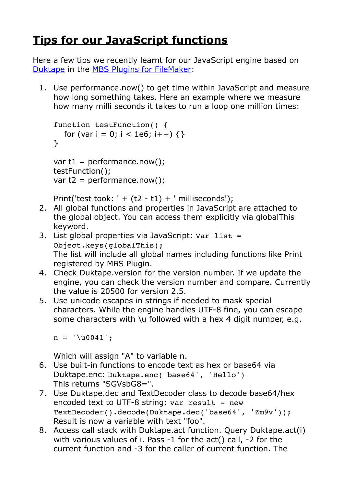## **[Tips for our JavaScript functions](https://www.mbs-plugins.com/archive/2020-02-02/Tips_for_our_JavaScript_functi/monkeybreadsoftware_blog_filemaker)**

Here a few tips we recently learnt for our JavaScript engine based on [Duktape](https://duktape.org/) in the [MBS Plugins for FileMaker:](https://www.mbsplugins.eu/component_JavaScript.shtml)

1. Use performance.now() to get time within JavaScript and measure how long something takes. Here an example where we measure how many milli seconds it takes to run a loop one million times:

```
function testFunction() {
  for (var i = 0; i < 1e6; i++) {}
}
```

```
var t1 = performance.now();
testFunction();
var t2 = performance.now();
```
Print('test took: ' +  $(t2 - t1)$  + ' milliseconds');

- 2. All global functions and properties in JavaScript are attached to the global object. You can access them explicitly via globalThis keyword.
- 3. List global properties via JavaScript: Var list = Object.keys(globalThis); The list will include all global names including functions like Print registered by MBS Plugin.
- 4. Check Duktape.version for the version number. If we update the engine, you can check the version number and compare. Currently the value is 20500 for version 2.5.
- 5. Use unicode escapes in strings if needed to mask special characters. While the engine handles UTF-8 fine, you can escape some characters with \u followed with a hex 4 digit number, e.g.

 $n = ' \u0041';$ 

Which will assign "A" to variable n.

- 6. Use built-in functions to encode text as hex or base64 via Duktape.enc: Duktape.enc('base64', 'Hello') This returns "SGVsbG8=".
- 7. Use Duktape.dec and TextDecoder class to decode base64/hex encoded text to UTF-8 string:  $var$  result = new TextDecoder().decode(Duktape.dec('base64', 'Zm9v')); Result is now a variable with text "foo".
- 8. Access call stack with Duktape.act function. Query Duktape.act(i) with various values of i. Pass -1 for the act() call, -2 for the current function and -3 for the caller of current function. The